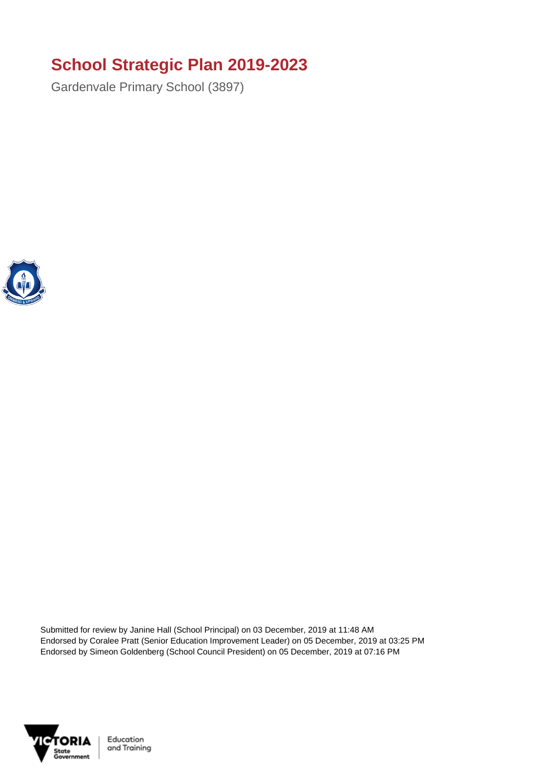## **School Strategic Plan 2019-2023**

Gardenvale Primary School (3897)



Submitted for review by Janine Hall (School Principal) on 03 December, 2019 at 11:48 AM Endorsed by Coralee Pratt (Senior Education Improvement Leader) on 05 December, 2019 at 03:25 PM Endorsed by Simeon Goldenberg (School Council President) on 05 December, 2019 at 07:16 PM



Education and Training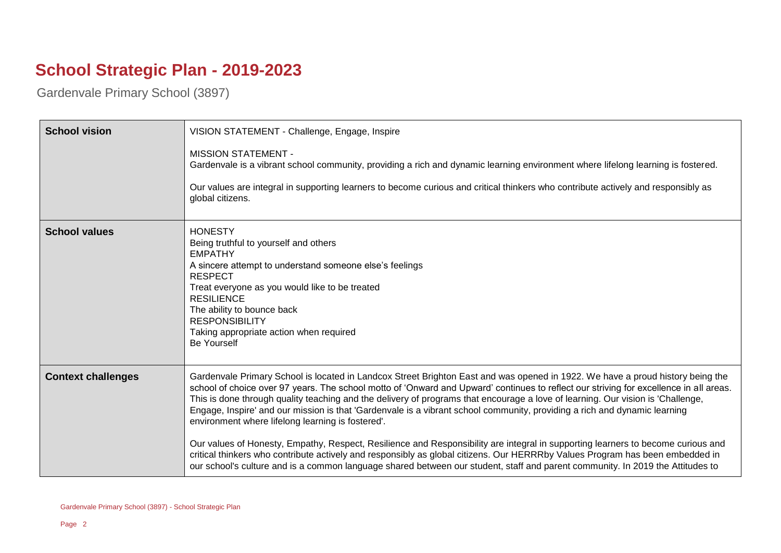## **School Strategic Plan - 2019-2023**

Gardenvale Primary School (3897)

| <b>School vision</b>      | VISION STATEMENT - Challenge, Engage, Inspire                                                                                                                                                                                                                                                                                                                                                                                                                                                                                                                                                                                                                                                                                                                                                                                                                                                                                                                                                        |
|---------------------------|------------------------------------------------------------------------------------------------------------------------------------------------------------------------------------------------------------------------------------------------------------------------------------------------------------------------------------------------------------------------------------------------------------------------------------------------------------------------------------------------------------------------------------------------------------------------------------------------------------------------------------------------------------------------------------------------------------------------------------------------------------------------------------------------------------------------------------------------------------------------------------------------------------------------------------------------------------------------------------------------------|
|                           | <b>MISSION STATEMENT -</b><br>Gardenvale is a vibrant school community, providing a rich and dynamic learning environment where lifelong learning is fostered.                                                                                                                                                                                                                                                                                                                                                                                                                                                                                                                                                                                                                                                                                                                                                                                                                                       |
|                           | Our values are integral in supporting learners to become curious and critical thinkers who contribute actively and responsibly as<br>global citizens.                                                                                                                                                                                                                                                                                                                                                                                                                                                                                                                                                                                                                                                                                                                                                                                                                                                |
| <b>School values</b>      | <b>HONESTY</b><br>Being truthful to yourself and others<br><b>EMPATHY</b><br>A sincere attempt to understand someone else's feelings<br><b>RESPECT</b><br>Treat everyone as you would like to be treated<br><b>RESILIENCE</b><br>The ability to bounce back<br><b>RESPONSIBILITY</b><br>Taking appropriate action when required<br><b>Be Yourself</b>                                                                                                                                                                                                                                                                                                                                                                                                                                                                                                                                                                                                                                                |
| <b>Context challenges</b> | Gardenvale Primary School is located in Landcox Street Brighton East and was opened in 1922. We have a proud history being the<br>school of choice over 97 years. The school motto of 'Onward and Upward' continues to reflect our striving for excellence in all areas.<br>This is done through quality teaching and the delivery of programs that encourage a love of learning. Our vision is 'Challenge,<br>Engage, Inspire' and our mission is that 'Gardenvale is a vibrant school community, providing a rich and dynamic learning<br>environment where lifelong learning is fostered'.<br>Our values of Honesty, Empathy, Respect, Resilience and Responsibility are integral in supporting learners to become curious and<br>critical thinkers who contribute actively and responsibly as global citizens. Our HERRRby Values Program has been embedded in<br>our school's culture and is a common language shared between our student, staff and parent community. In 2019 the Attitudes to |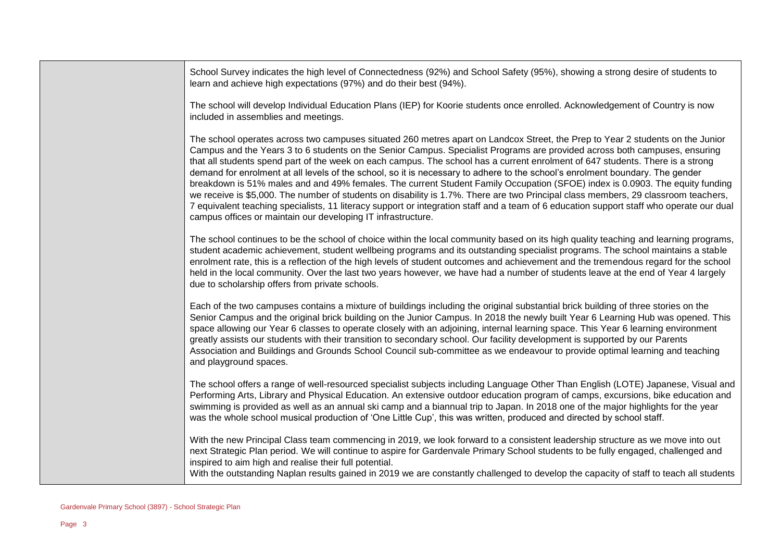School Survey indicates the high level of Connectedness (92%) and School Safety (95%), showing a strong desire of students to learn and achieve high expectations (97%) and do their best (94%).

The school will develop Individual Education Plans (IEP) for Koorie students once enrolled. Acknowledgement of Country is now included in assemblies and meetings.

The school operates across two campuses situated 260 metres apart on Landcox Street, the Prep to Year 2 students on the Junior Campus and the Years 3 to 6 students on the Senior Campus. Specialist Programs are provided across both campuses, ensuring that all students spend part of the week on each campus. The school has a current enrolment of 647 students. There is a strong demand for enrolment at all levels of the school, so it is necessary to adhere to the school's enrolment boundary. The gender breakdown is 51% males and and 49% females. The current Student Family Occupation (SFOE) index is 0.0903. The equity funding we receive is \$5,000. The number of students on disability is 1.7%. There are two Principal class members, 29 classroom teachers, 7 equivalent teaching specialists, 11 literacy support or integration staff and a team of 6 education support staff who operate our dual campus offices or maintain our developing IT infrastructure.

The school continues to be the school of choice within the local community based on its high quality teaching and learning programs, student academic achievement, student wellbeing programs and its outstanding specialist programs. The school maintains a stable enrolment rate, this is a reflection of the high levels of student outcomes and achievement and the tremendous regard for the school held in the local community. Over the last two years however, we have had a number of students leave at the end of Year 4 largely due to scholarship offers from private schools.

Each of the two campuses contains a mixture of buildings including the original substantial brick building of three stories on the Senior Campus and the original brick building on the Junior Campus. In 2018 the newly built Year 6 Learning Hub was opened. This space allowing our Year 6 classes to operate closely with an adjoining, internal learning space. This Year 6 learning environment greatly assists our students with their transition to secondary school. Our facility development is supported by our Parents Association and Buildings and Grounds School Council sub-committee as we endeavour to provide optimal learning and teaching and playground spaces.

The school offers a range of well-resourced specialist subjects including Language Other Than English (LOTE) Japanese, Visual and Performing Arts, Library and Physical Education. An extensive outdoor education program of camps, excursions, bike education and swimming is provided as well as an annual ski camp and a biannual trip to Japan. In 2018 one of the major highlights for the year was the whole school musical production of 'One Little Cup', this was written, produced and directed by school staff.

With the new Principal Class team commencing in 2019, we look forward to a consistent leadership structure as we move into out next Strategic Plan period. We will continue to aspire for Gardenvale Primary School students to be fully engaged, challenged and inspired to aim high and realise their full potential.

With the outstanding Naplan results gained in 2019 we are constantly challenged to develop the capacity of staff to teach all students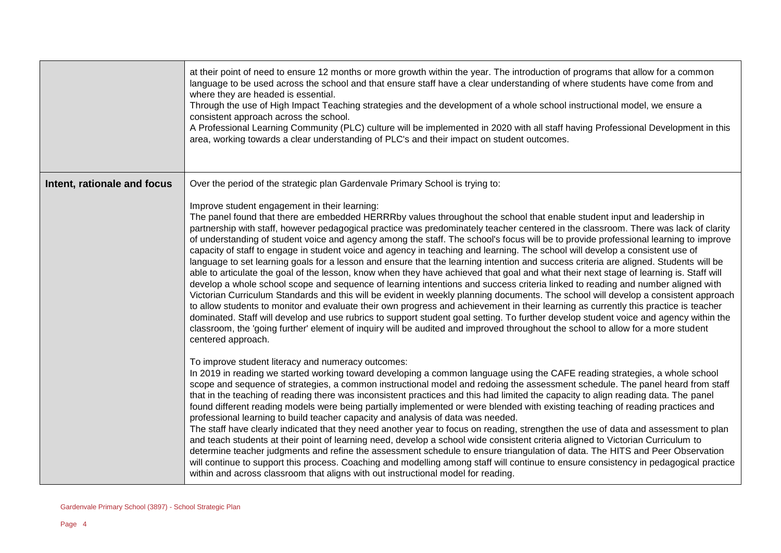|                             | at their point of need to ensure 12 months or more growth within the year. The introduction of programs that allow for a common<br>language to be used across the school and that ensure staff have a clear understanding of where students have come from and<br>where they are headed is essential.<br>Through the use of High Impact Teaching strategies and the development of a whole school instructional model, we ensure a<br>consistent approach across the school.<br>A Professional Learning Community (PLC) culture will be implemented in 2020 with all staff having Professional Development in this<br>area, working towards a clear understanding of PLC's and their impact on student outcomes.                                                                                                                                                                                                                                                                                                                                                                                                                                                                                                                                                                                                                                                                                                                                                                                                                                                                                                                                                                   |
|-----------------------------|------------------------------------------------------------------------------------------------------------------------------------------------------------------------------------------------------------------------------------------------------------------------------------------------------------------------------------------------------------------------------------------------------------------------------------------------------------------------------------------------------------------------------------------------------------------------------------------------------------------------------------------------------------------------------------------------------------------------------------------------------------------------------------------------------------------------------------------------------------------------------------------------------------------------------------------------------------------------------------------------------------------------------------------------------------------------------------------------------------------------------------------------------------------------------------------------------------------------------------------------------------------------------------------------------------------------------------------------------------------------------------------------------------------------------------------------------------------------------------------------------------------------------------------------------------------------------------------------------------------------------------------------------------------------------------|
| Intent, rationale and focus | Over the period of the strategic plan Gardenvale Primary School is trying to:<br>Improve student engagement in their learning:<br>The panel found that there are embedded HERRRby values throughout the school that enable student input and leadership in<br>partnership with staff, however pedagogical practice was predominately teacher centered in the classroom. There was lack of clarity<br>of understanding of student voice and agency among the staff. The school's focus will be to provide professional learning to improve<br>capacity of staff to engage in student voice and agency in teaching and learning. The school will develop a consistent use of<br>language to set learning goals for a lesson and ensure that the learning intention and success criteria are aligned. Students will be<br>able to articulate the goal of the lesson, know when they have achieved that goal and what their next stage of learning is. Staff will<br>develop a whole school scope and sequence of learning intentions and success criteria linked to reading and number aligned with<br>Victorian Curriculum Standards and this will be evident in weekly planning documents. The school will develop a consistent approach<br>to allow students to monitor and evaluate their own progress and achievement in their learning as currently this practice is teacher<br>dominated. Staff will develop and use rubrics to support student goal setting. To further develop student voice and agency within the<br>classroom, the 'going further' element of inquiry will be audited and improved throughout the school to allow for a more student<br>centered approach. |
|                             | To improve student literacy and numeracy outcomes:<br>In 2019 in reading we started working toward developing a common language using the CAFE reading strategies, a whole school<br>scope and sequence of strategies, a common instructional model and redoing the assessment schedule. The panel heard from staff<br>that in the teaching of reading there was inconsistent practices and this had limited the capacity to align reading data. The panel<br>found different reading models were being partially implemented or were blended with existing teaching of reading practices and<br>professional learning to build teacher capacity and analysis of data was needed.<br>The staff have clearly indicated that they need another year to focus on reading, strengthen the use of data and assessment to plan<br>and teach students at their point of learning need, develop a school wide consistent criteria aligned to Victorian Curriculum to<br>determine teacher judgments and refine the assessment schedule to ensure triangulation of data. The HITS and Peer Observation<br>will continue to support this process. Coaching and modelling among staff will continue to ensure consistency in pedagogical practice<br>within and across classroom that aligns with out instructional model for reading.                                                                                                                                                                                                                                                                                                                                                        |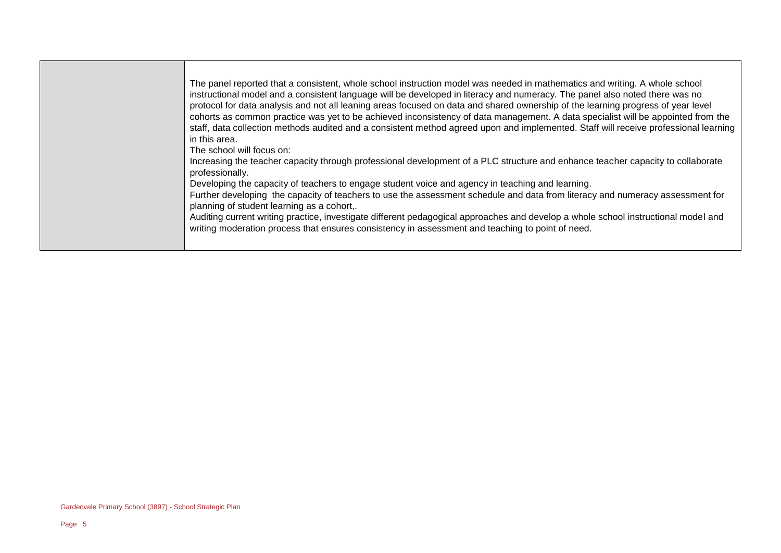The panel reported that a consistent, whole school instruction model was needed in mathematics and writing. A whole school instructional model and a consistent language will be developed in literacy and numeracy. The panel also noted there was no protocol for data analysis and not all leaning areas focused on data and shared ownership of the learning progress of year level cohorts as common practice was yet to be achieved inconsistency of data management. A data specialist will be appointed from the staff, data collection methods audited and a consistent method agreed upon and implemented. Staff will receive professional learning in this area.

The school will focus on:

Increasing the teacher capacity through professional development of a PLC structure and enhance teacher capacity to collaborate professionally.

Developing the capacity of teachers to engage student voice and agency in teaching and learning.

Further developing the capacity of teachers to use the assessment schedule and data from literacy and numeracy assessment for planning of student learning as a cohort,.

Auditing current writing practice, investigate different pedagogical approaches and develop a whole school instructional model and writing moderation process that ensures consistency in assessment and teaching to point of need.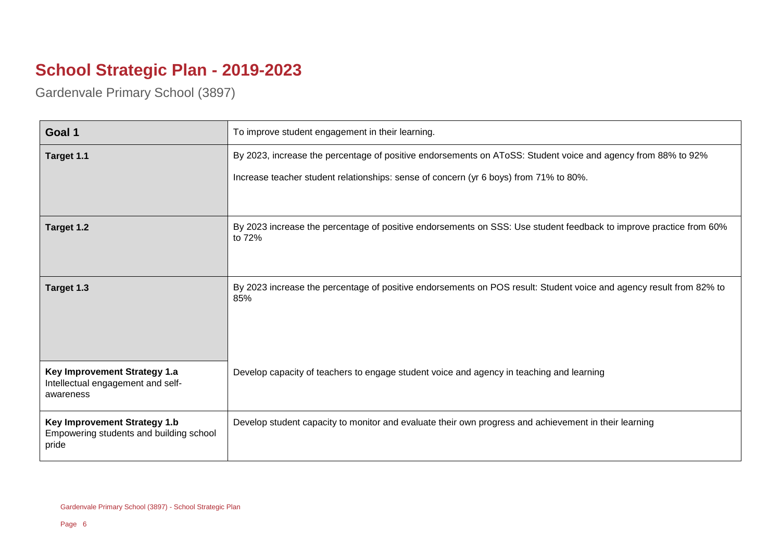## **School Strategic Plan - 2019-2023**

Gardenvale Primary School (3897)

| Goal 1                                                                           | To improve student engagement in their learning.                                                                             |
|----------------------------------------------------------------------------------|------------------------------------------------------------------------------------------------------------------------------|
| Target 1.1                                                                       | By 2023, increase the percentage of positive endorsements on AToSS: Student voice and agency from 88% to 92%                 |
|                                                                                  | Increase teacher student relationships: sense of concern (yr 6 boys) from 71% to 80%.                                        |
|                                                                                  |                                                                                                                              |
| Target 1.2                                                                       | By 2023 increase the percentage of positive endorsements on SSS: Use student feedback to improve practice from 60%<br>to 72% |
| Target 1.3                                                                       | By 2023 increase the percentage of positive endorsements on POS result: Student voice and agency result from 82% to<br>85%   |
| Key Improvement Strategy 1.a<br>Intellectual engagement and self-<br>awareness   | Develop capacity of teachers to engage student voice and agency in teaching and learning                                     |
| Key Improvement Strategy 1.b<br>Empowering students and building school<br>pride | Develop student capacity to monitor and evaluate their own progress and achievement in their learning                        |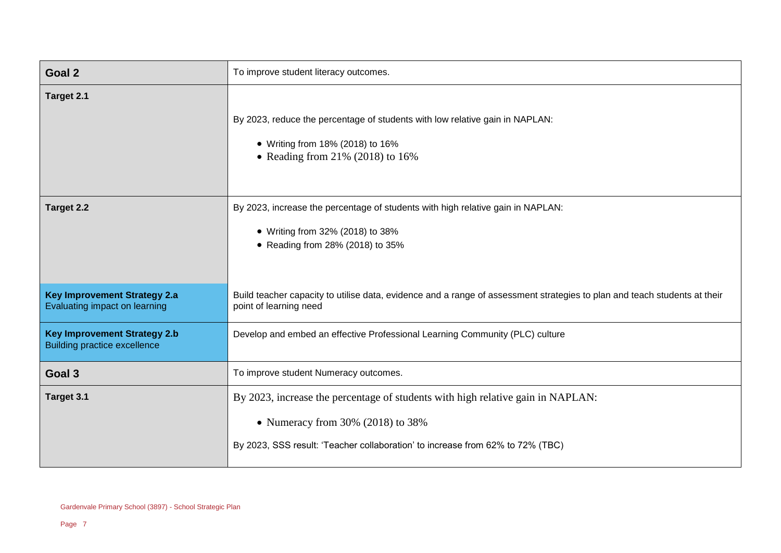| Goal <sub>2</sub>                                                          | To improve student literacy outcomes.                                                                                                                                                                     |
|----------------------------------------------------------------------------|-----------------------------------------------------------------------------------------------------------------------------------------------------------------------------------------------------------|
| Target 2.1                                                                 | By 2023, reduce the percentage of students with low relative gain in NAPLAN:<br>• Writing from 18% (2018) to 16%<br>• Reading from $21\%$ (2018) to 16%                                                   |
| Target 2.2                                                                 | By 2023, increase the percentage of students with high relative gain in NAPLAN:<br>• Writing from 32% (2018) to 38%<br>• Reading from 28% (2018) to 35%                                                   |
| <b>Key Improvement Strategy 2.a</b><br>Evaluating impact on learning       | Build teacher capacity to utilise data, evidence and a range of assessment strategies to plan and teach students at their<br>point of learning need                                                       |
| <b>Key Improvement Strategy 2.b</b><br><b>Building practice excellence</b> | Develop and embed an effective Professional Learning Community (PLC) culture                                                                                                                              |
| Goal 3                                                                     | To improve student Numeracy outcomes.                                                                                                                                                                     |
| Target 3.1                                                                 | By 2023, increase the percentage of students with high relative gain in NAPLAN:<br>• Numeracy from $30\%$ (2018) to 38%<br>By 2023, SSS result: 'Teacher collaboration' to increase from 62% to 72% (TBC) |